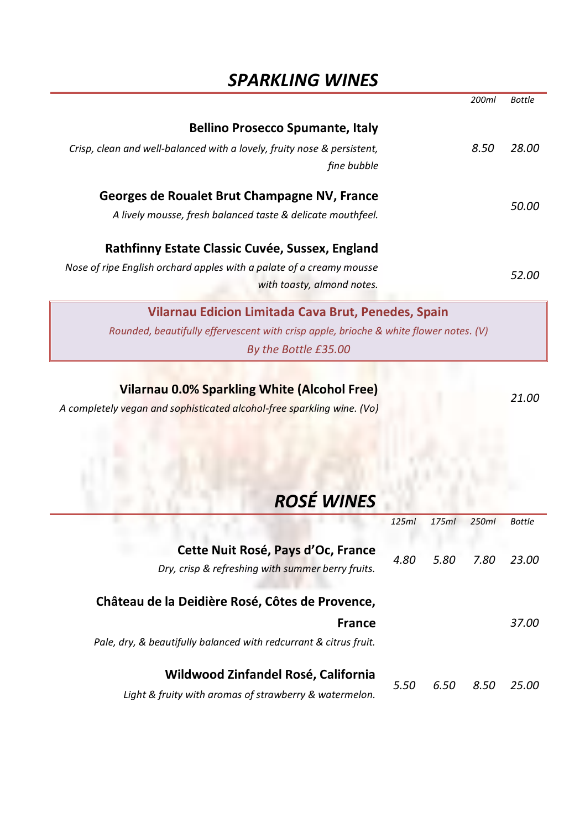## *SPARKLING WINES*

|                                                                                       | 200ml | <b>Bottle</b> |
|---------------------------------------------------------------------------------------|-------|---------------|
|                                                                                       |       |               |
| <b>Bellino Prosecco Spumante, Italy</b>                                               |       |               |
| Crisp, clean and well-balanced with a lovely, fruity nose & persistent,               | 8.50  | 28.00         |
| fine bubble                                                                           |       |               |
| Georges de Roualet Brut Champagne NV, France                                          |       | 50.00         |
| A lively mousse, fresh balanced taste & delicate mouthfeel.                           |       |               |
| Rathfinny Estate Classic Cuvée, Sussex, England                                       |       |               |
| Nose of ripe English orchard apples with a palate of a creamy mousse                  |       |               |
| with toasty, almond notes.                                                            |       | 52.00         |
| Vilarnau Edicion Limitada Cava Brut, Penedes, Spain                                   |       |               |
| Rounded, beautifully effervescent with crisp apple, brioche & white flower notes. (V) |       |               |
| By the Bottle £35.00                                                                  |       |               |
|                                                                                       |       |               |
| <b>Vilarnau 0.0% Sparkling White (Alcohol Free)</b>                                   |       | . <i>.</i>    |

*A completely vegan and sophisticated alcohol-free sparkling wine. (Vo)*

*21.00*

# *ROSÉ WINES*

|                                                                                         | 125ml | 175ml | 250ml | <b>Bottle</b> |
|-----------------------------------------------------------------------------------------|-------|-------|-------|---------------|
| Cette Nuit Rosé, Pays d'Oc, France<br>Dry, crisp & refreshing with summer berry fruits. | 4.80  | 5.80  | 7.80  | 23.00         |
| Château de la Deidière Rosé, Côtes de Provence,                                         |       |       |       |               |
| <b>France</b>                                                                           |       |       |       | 37.00         |
| Pale, dry, & beautifully balanced with redcurrant & citrus fruit.                       |       |       |       |               |
| Wildwood Zinfandel Rosé, California                                                     | 5.50  | 6.50  | 8.50  | 25.00         |
| Light & fruity with aromas of strawberry & watermelon.                                  |       |       |       |               |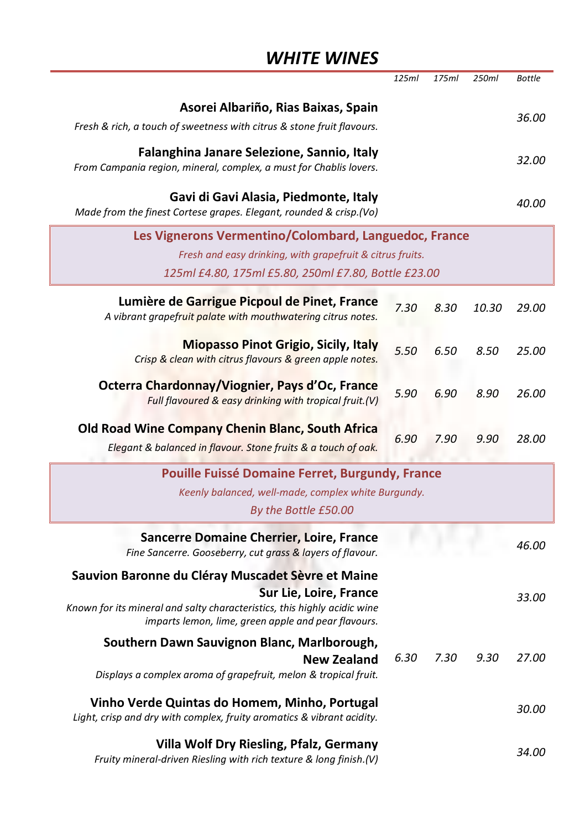## *WHITE WINES*

|                                                                                                                                                                                                                | 125ml | 175ml | 250ml | <b>Bottle</b> |
|----------------------------------------------------------------------------------------------------------------------------------------------------------------------------------------------------------------|-------|-------|-------|---------------|
| Asorei Albariño, Rias Baixas, Spain<br>Fresh & rich, a touch of sweetness with citrus & stone fruit flavours.                                                                                                  |       |       |       | 36.00         |
| Falanghina Janare Selezione, Sannio, Italy<br>From Campania region, mineral, complex, a must for Chablis lovers.                                                                                               |       |       |       | 32.00         |
| Gavi di Gavi Alasia, Piedmonte, Italy<br>Made from the finest Cortese grapes. Elegant, rounded & crisp.(Vo)                                                                                                    |       |       |       | 40.00         |
| Les Vignerons Vermentino/Colombard, Languedoc, France<br>Fresh and easy drinking, with grapefruit & citrus fruits.<br>125ml £4.80, 175ml £5.80, 250ml £7.80, Bottle £23.00                                     |       |       |       |               |
| Lumière de Garrigue Picpoul de Pinet, France<br>A vibrant grapefruit palate with mouthwatering citrus notes.                                                                                                   | 7.30  | 8.30  | 10.30 | 29.00         |
| <b>Miopasso Pinot Grigio, Sicily, Italy</b><br>Crisp & clean with citrus flavours & green apple notes.                                                                                                         | 5.50  | 6.50  | 8.50  | 25.00         |
| Octerra Chardonnay/Viognier, Pays d'Oc, France<br>Full flavoured & easy drinking with tropical fruit.(V)                                                                                                       | 5.90  | 6.90  | 8.90  | 26.00         |
| Old Road Wine Company Chenin Blanc, South Africa<br>Elegant & balanced in flavour. Stone fruits & a touch of oak.                                                                                              | 6.90  | 7.90  | 9.90  | 28.00         |
| Pouille Fuissé Domaine Ferret, Burgundy, France<br>Keenly balanced, well-made, complex white Burgundy.<br>By the Bottle £50.00                                                                                 |       |       |       |               |
| Sancerre Domaine Cherrier, Loire, France<br>Fine Sancerre. Gooseberry, cut grass & layers of flavour.                                                                                                          |       |       |       | 46.00         |
| Sauvion Baronne du Cléray Muscadet Sèvre et Maine<br>Sur Lie, Loire, France<br>Known for its mineral and salty characteristics, this highly acidic wine<br>imparts lemon, lime, green apple and pear flavours. |       |       |       | 33.00         |
| Southern Dawn Sauvignon Blanc, Marlborough,<br>New Zealand<br>Displays a complex aroma of grapefruit, melon & tropical fruit.                                                                                  | 6.30  | 7.30  | 9.30  | 27.00         |
| Vinho Verde Quintas do Homem, Minho, Portugal<br>Light, crisp and dry with complex, fruity aromatics & vibrant acidity.                                                                                        |       |       |       | 30.00         |
| Villa Wolf Dry Riesling, Pfalz, Germany<br>Fruity mineral-driven Riesling with rich texture & long finish.(V)                                                                                                  |       |       |       | 34.00         |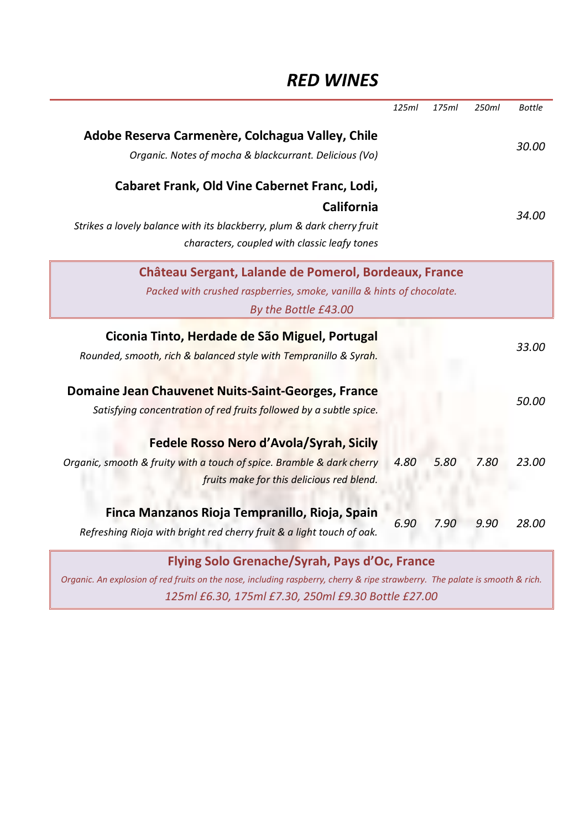## *RED WINES*

|                                                                                                                              | 125ml | 175ml | 250ml | <b>Bottle</b> |
|------------------------------------------------------------------------------------------------------------------------------|-------|-------|-------|---------------|
| Adobe Reserva Carmenère, Colchagua Valley, Chile<br>Organic. Notes of mocha & blackcurrant. Delicious (Vo)                   |       |       |       | 30.00         |
| Cabaret Frank, Old Vine Cabernet Franc, Lodi,                                                                                |       |       |       |               |
| California                                                                                                                   |       |       |       |               |
| Strikes a lovely balance with its blackberry, plum & dark cherry fruit                                                       |       |       |       | 34.00         |
| characters, coupled with classic leafy tones                                                                                 |       |       |       |               |
| Château Sergant, Lalande de Pomerol, Bordeaux, France                                                                        |       |       |       |               |
| Packed with crushed raspberries, smoke, vanilla & hints of chocolate.                                                        |       |       |       |               |
| By the Bottle £43.00                                                                                                         |       |       |       |               |
| Ciconia Tinto, Herdade de São Miguel, Portugal                                                                               |       |       |       | 33.00         |
| Rounded, smooth, rich & balanced style with Tempranillo & Syrah.                                                             |       |       |       |               |
| Domaine Jean Chauvenet Nuits-Saint-Georges, France                                                                           |       |       |       |               |
| Satisfying concentration of red fruits followed by a subtle spice.                                                           |       |       |       | 50.00         |
|                                                                                                                              |       |       |       |               |
| Fedele Rosso Nero d'Avola/Syrah, Sicily                                                                                      |       |       |       |               |
| Organic, smooth & fruity with a touch of spice. Bramble & dark cherry                                                        | 4.80  | 5.80  | 7.80  | 23.00         |
| fruits make for this delicious red blend.                                                                                    |       |       |       |               |
| Finca Manzanos Rioja Tempranillo, Rioja, Spain                                                                               |       |       |       |               |
| Refreshing Rioja with bright red cherry fruit & a light touch of oak.                                                        | 6.90  | 7.90  | 9.90  | 28.00         |
|                                                                                                                              |       |       |       |               |
| Flying Solo Grenache/Syrah, Pays d'Oc, France                                                                                |       |       |       |               |
| Organic. An explosion of red fruits on the nose, including raspberry, cherry & ripe strawberry. The palate is smooth & rich. |       |       |       |               |

*125ml £6.30, 175ml £7.30, 250ml £9.30 Bottle £27.00*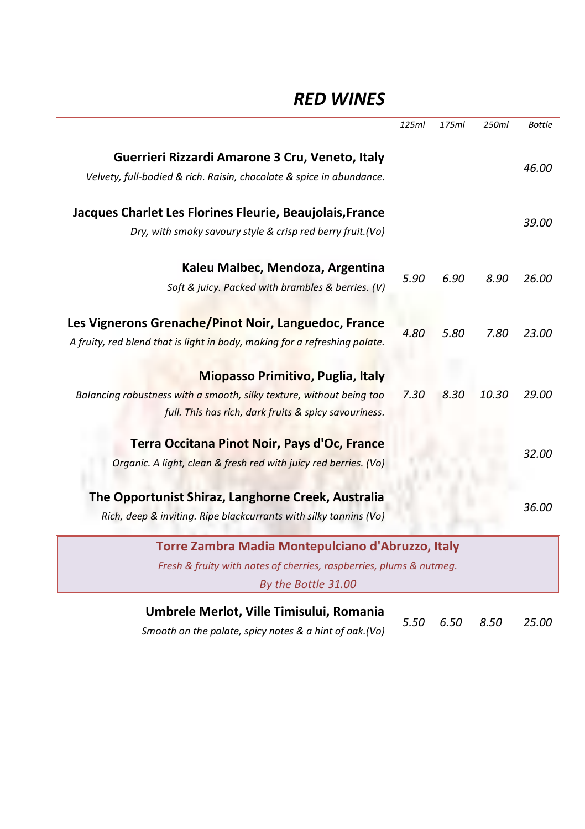### *RED WINES*

|                                                                                                                                    | 125ml | 175ml | 250ml | <b>Bottle</b> |
|------------------------------------------------------------------------------------------------------------------------------------|-------|-------|-------|---------------|
| Guerrieri Rizzardi Amarone 3 Cru, Veneto, Italy<br>Velvety, full-bodied & rich. Raisin, chocolate & spice in abundance.            |       |       |       | 46.00         |
| Jacques Charlet Les Florines Fleurie, Beaujolais, France<br>Dry, with smoky savoury style & crisp red berry fruit.(Vo)             |       |       |       | 39.00         |
| Kaleu Malbec, Mendoza, Argentina<br>Soft & juicy. Packed with brambles & berries. (V)                                              | 5.90  | 6.90  | 8.90  | 26.00         |
| Les Vignerons Grenache/Pinot Noir, Languedoc, France<br>A fruity, red blend that is light in body, making for a refreshing palate. | 4.80  | 5.80  | 7.80  | 23.00         |
| Miopasso Primitivo, Puglia, Italy                                                                                                  |       |       |       |               |
| Balancing robustness with a smooth, silky texture, without being too<br>full. This has rich, dark fruits & spicy savouriness.      | 7.30  | 8.30  | 10.30 | 29.00         |
| Terra Occitana Pinot Noir, Pays d'Oc, France                                                                                       |       |       |       |               |
| Organic. A light, clean & fresh red with juicy red berries. (Vo)                                                                   |       |       |       | 32.00         |
| The Opportunist Shiraz, Langhorne Creek, Australia<br>Rich, deep & inviting. Ripe blackcurrants with silky tannins (Vo)            |       |       |       | 36.00         |
| Torre Zambra Madia Montepulciano d'Abruzzo, Italy                                                                                  |       |       |       |               |
| Fresh & fruity with notes of cherries, raspberries, plums & nutmeq.<br>By the Bottle 31.00                                         |       |       |       |               |
| Umbrele Merlot, Ville Timisului, Romania                                                                                           | 5.50  | 6.50  | 8.50  | 25.00         |

*Smooth on the palate, spicy notes & a hint of oak.(Vo)*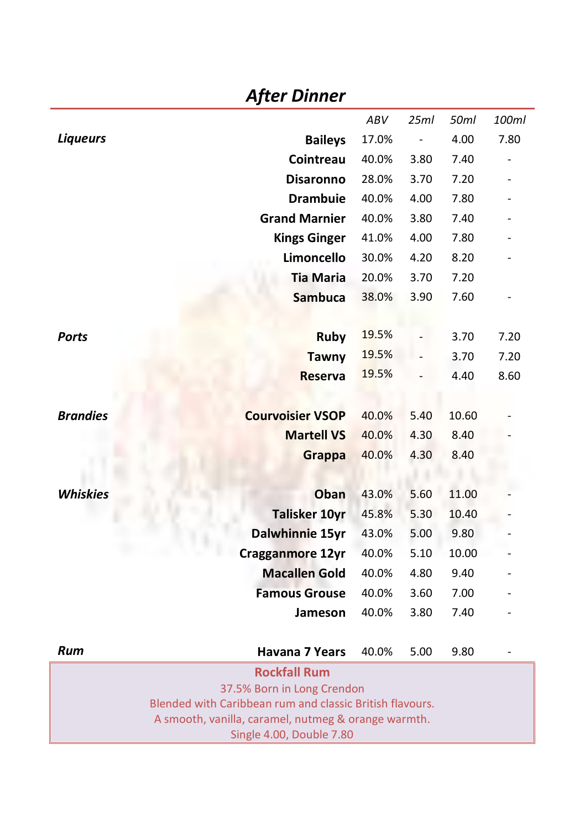|                 | <b>After Dinner</b>                                                                    |       |      |       |       |
|-----------------|----------------------------------------------------------------------------------------|-------|------|-------|-------|
|                 |                                                                                        | ABV   | 25ml | 50ml  | 100ml |
| <b>Liqueurs</b> | <b>Baileys</b>                                                                         | 17.0% |      | 4.00  | 7.80  |
|                 | Cointreau                                                                              | 40.0% | 3.80 | 7.40  |       |
|                 | <b>Disaronno</b>                                                                       | 28.0% | 3.70 | 7.20  |       |
|                 | <b>Drambuie</b>                                                                        | 40.0% | 4.00 | 7.80  |       |
|                 | <b>Grand Marnier</b>                                                                   | 40.0% | 3.80 | 7.40  |       |
|                 | <b>Kings Ginger</b>                                                                    | 41.0% | 4.00 | 7.80  |       |
|                 | Limoncello                                                                             | 30.0% | 4.20 | 8.20  |       |
|                 | <b>Tia Maria</b>                                                                       | 20.0% | 3.70 | 7.20  |       |
|                 | <b>Sambuca</b>                                                                         | 38.0% | 3.90 | 7.60  |       |
|                 |                                                                                        |       |      |       |       |
| Ports           | <b>Ruby</b>                                                                            | 19.5% |      | 3.70  | 7.20  |
|                 | <b>Tawny</b>                                                                           | 19.5% |      | 3.70  | 7.20  |
|                 | <b>Reserva</b>                                                                         | 19.5% |      | 4.40  | 8.60  |
|                 |                                                                                        |       |      |       |       |
| <b>Brandies</b> | <b>Courvoisier VSOP</b>                                                                | 40.0% | 5.40 | 10.60 |       |
|                 | <b>Martell VS</b>                                                                      | 40.0% | 4.30 | 8.40  |       |
|                 | <b>Grappa</b>                                                                          | 40.0% | 4.30 | 8.40  |       |
|                 |                                                                                        |       |      |       |       |
| <b>Whiskies</b> | Oban                                                                                   | 43.0% | 5.60 | 11.00 |       |
|                 | <b>Talisker 10yr</b>                                                                   | 45.8% | 5.30 | 10.40 |       |
|                 | Dalwhinnie 15yr                                                                        | 43.0% | 5.00 | 9.80  |       |
|                 | Cragganmore 12yr                                                                       | 40.0% | 5.10 | 10.00 |       |
|                 | <b>Macallen Gold</b>                                                                   | 40.0% | 4.80 | 9.40  |       |
|                 | <b>Famous Grouse</b>                                                                   | 40.0% | 3.60 | 7.00  |       |
|                 | Jameson                                                                                | 40.0% | 3.80 | 7.40  |       |
|                 |                                                                                        |       |      |       |       |
| Rum             | <b>Havana 7 Years</b>                                                                  | 40.0% | 5.00 | 9.80  |       |
|                 | <b>Rockfall Rum</b>                                                                    |       |      |       |       |
|                 | 37.5% Born in Long Crendon<br>Blended with Caribbean rum and classic British flavours. |       |      |       |       |
|                 | A smooth, vanilla, caramel, nutmeg & orange warmth.                                    |       |      |       |       |
|                 | Single 4.00, Double 7.80                                                               |       |      |       |       |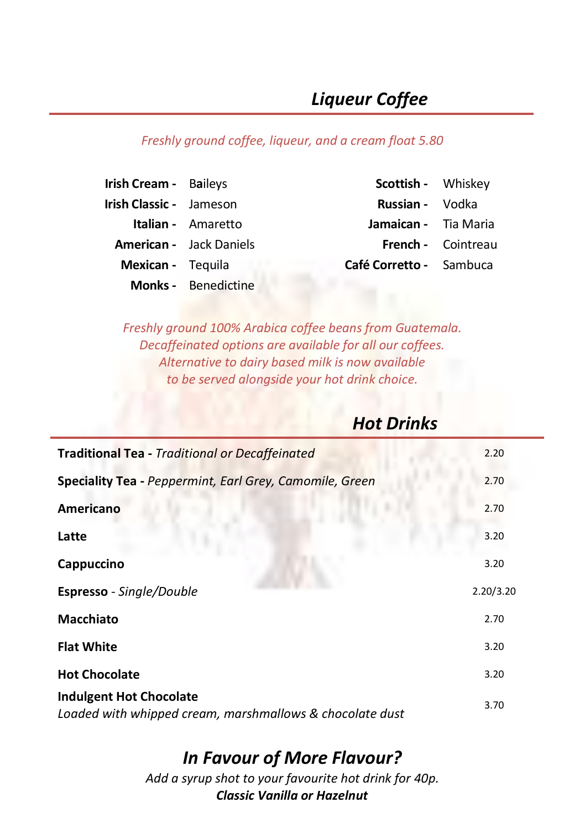# *Liqueur Coffee*

#### *Freshly ground coffee, liqueur, and a cream float 5.80*

| Irish Cream - Baileys          |                                | Scottish - Whiskey      |                           |
|--------------------------------|--------------------------------|-------------------------|---------------------------|
| <b>Irish Classic -</b> Jameson |                                | <b>Russian -</b> Vodka  |                           |
|                                | <b>Italian -</b> Amaretto      | Jamaican - Tia Maria    |                           |
|                                | <b>American</b> - Jack Daniels |                         | <b>French - Cointreau</b> |
| <b>Mexican</b> - Tequila       |                                | Café Corretto - Sambuca |                           |
|                                | <b>Monks</b> - Benedictine     |                         |                           |

*Freshly ground 100% Arabica coffee beans from Guatemala. Decaffeinated options are available for all our coffees. Alternative to dairy based milk is now available to be served alongside your hot drink choice.*

## *Hot Drinks*

| <b>Traditional Tea - Traditional or Decaffeinated</b>                                      | 2.20      |
|--------------------------------------------------------------------------------------------|-----------|
| Speciality Tea - Peppermint, Earl Grey, Camomile, Green                                    | 2.70      |
| Americano                                                                                  | 2.70      |
| Latte                                                                                      | 3.20      |
| Cappuccino                                                                                 | 3.20      |
| <b>Espresso</b> - Single/Double                                                            | 2.20/3.20 |
| <b>Macchiato</b>                                                                           | 2.70      |
| <b>Flat White</b>                                                                          | 3.20      |
| <b>Hot Chocolate</b>                                                                       | 3.20      |
| <b>Indulgent Hot Chocolate</b><br>Loaded with whipped cream, marshmallows & chocolate dust | 3.70      |

### *In Favour of More Flavour?*

*Add a syrup shot to your favourite hot drink for 40p. Classic Vanilla or Hazelnut*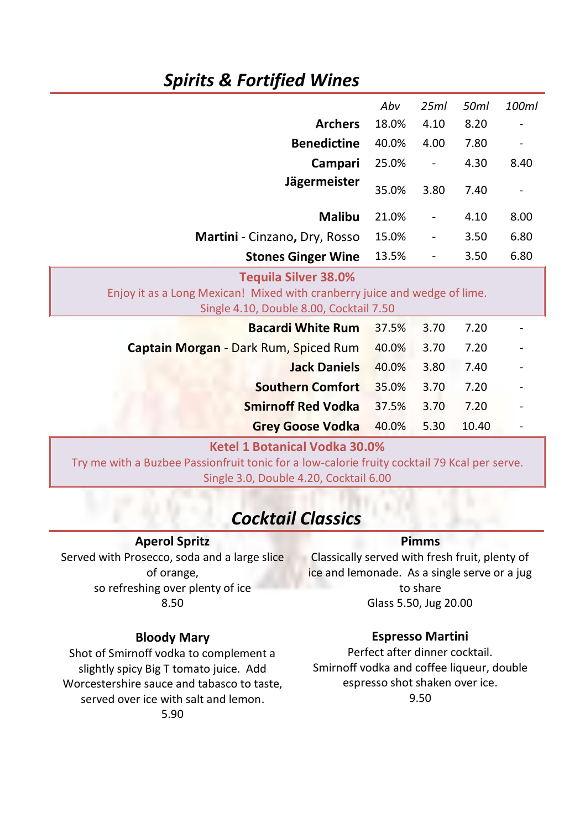## *Spirits & Fortified Wines*

|                                                                                                                                                     | Abv   | 25ml | 50ml  | 100ml |
|-----------------------------------------------------------------------------------------------------------------------------------------------------|-------|------|-------|-------|
| <b>Archers</b>                                                                                                                                      | 18.0% | 4.10 | 8.20  |       |
| <b>Benedictine</b>                                                                                                                                  | 40.0% | 4.00 | 7.80  |       |
| Campari                                                                                                                                             | 25.0% |      | 4.30  | 8.40  |
| Jägermeister                                                                                                                                        | 35.0% | 3.80 | 7.40  |       |
| <b>Malibu</b>                                                                                                                                       | 21.0% |      | 4.10  | 8.00  |
| Martini - Cinzano, Dry, Rosso                                                                                                                       | 15.0% |      | 3.50  | 6.80  |
| <b>Stones Ginger Wine</b>                                                                                                                           | 13.5% | -    | 3.50  | 6.80  |
| <b>Tequila Silver 38.0%</b><br>Enjoy it as a Long Mexican! Mixed with cranberry juice and wedge of lime.<br>Single 4.10, Double 8.00, Cocktail 7.50 |       |      |       |       |
| <b>Bacardi White Rum</b>                                                                                                                            | 37.5% | 3.70 | 7.20  |       |
| Captain Morgan - Dark Rum, Spiced Rum                                                                                                               | 40.0% | 3.70 | 7.20  |       |
| <b>Jack Daniels</b>                                                                                                                                 | 40.0% | 3.80 | 7.40  |       |
| <b>Southern Comfort</b>                                                                                                                             | 35.0% | 3.70 | 7.20  |       |
| <b>Smirnoff Red Vodka</b>                                                                                                                           | 37.5% | 3.70 | 7.20  |       |
|                                                                                                                                                     |       |      |       |       |
| <b>Grey Goose Vodka</b>                                                                                                                             | 40.0% | 5.30 | 10.40 |       |

Single 3.0, Double 4.20, Cocktail 6.00

## *Cocktail Classics*

#### **Aperol Spritz**

Served with Prosecco, soda and a large slice of orange, so refreshing over plenty of ice 8.50

#### **Bloody Mary**

Shot of Smirnoff vodka to complement a slightly spicy Big T tomato juice. Add Worcestershire sauce and tabasco to taste, served over ice with salt and lemon. 5.90

#### **Pimms**

Classically served with fresh fruit, plenty of ice and lemonade. As a single serve or a jug to share Glass 5.50, Jug 20.00

#### **Espresso Martini**

Perfect after dinner cocktail. Smirnoff vodka and coffee liqueur, double espresso shot shaken over ice. 9.50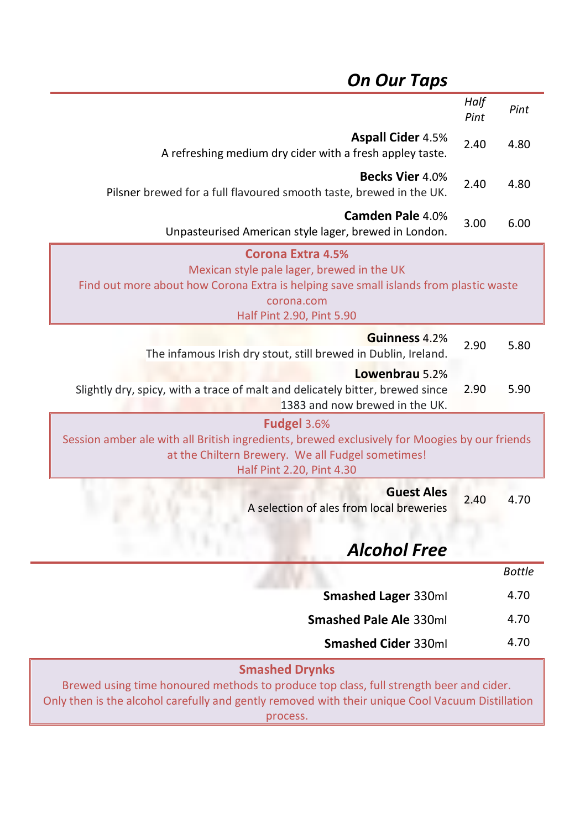## *On Our Taps*

|                                                                                                                                                                                                                                 | Half<br>Pint | Pint          |
|---------------------------------------------------------------------------------------------------------------------------------------------------------------------------------------------------------------------------------|--------------|---------------|
| <b>Aspall Cider 4.5%</b><br>A refreshing medium dry cider with a fresh appley taste.                                                                                                                                            | 2.40         | 4.80          |
| <b>Becks Vier 4.0%</b><br>Pilsner brewed for a full flavoured smooth taste, brewed in the UK.                                                                                                                                   | 2.40         | 4.80          |
| Camden Pale 4.0%<br>Unpasteurised American style lager, brewed in London.                                                                                                                                                       | 3.00         | 6.00          |
| <b>Corona Extra 4.5%</b><br>Mexican style pale lager, brewed in the UK<br>Find out more about how Corona Extra is helping save small islands from plastic waste<br>corona.com<br>Half Pint 2.90, Pint 5.90                      |              |               |
| Guinness 4.2%<br>The infamous Irish dry stout, still brewed in Dublin, Ireland.                                                                                                                                                 | 2.90         | 5.80          |
| Lowenbrau 5.2%<br>Slightly dry, spicy, with a trace of malt and delicately bitter, brewed since<br>1383 and now brewed in the UK.                                                                                               | 2.90         | 5.90          |
| Fudgel 3.6%<br>Session amber ale with all British ingredients, brewed exclusively for Moogies by our friends<br>at the Chiltern Brewery. We all Fudgel sometimes!<br>Half Pint 2.20, Pint 4.30                                  |              |               |
| <b>Guest Ales</b><br>A selection of ales from local breweries                                                                                                                                                                   | 2.40         | 4.70          |
| <b>Alcohol Free</b>                                                                                                                                                                                                             |              |               |
|                                                                                                                                                                                                                                 |              | <b>Bottle</b> |
| Smashed Lager 330ml                                                                                                                                                                                                             |              | 4.70          |
| Smashed Pale Ale 330ml                                                                                                                                                                                                          |              | 4.70          |
| <b>Smashed Cider 330ml</b>                                                                                                                                                                                                      |              | 4.70          |
| <b>Smashed Drynks</b><br>Brewed using time honoured methods to produce top class, full strength beer and cider.<br>Only then is the alcohol carefully and gently removed with their unique Cool Vacuum Distillation<br>process. |              |               |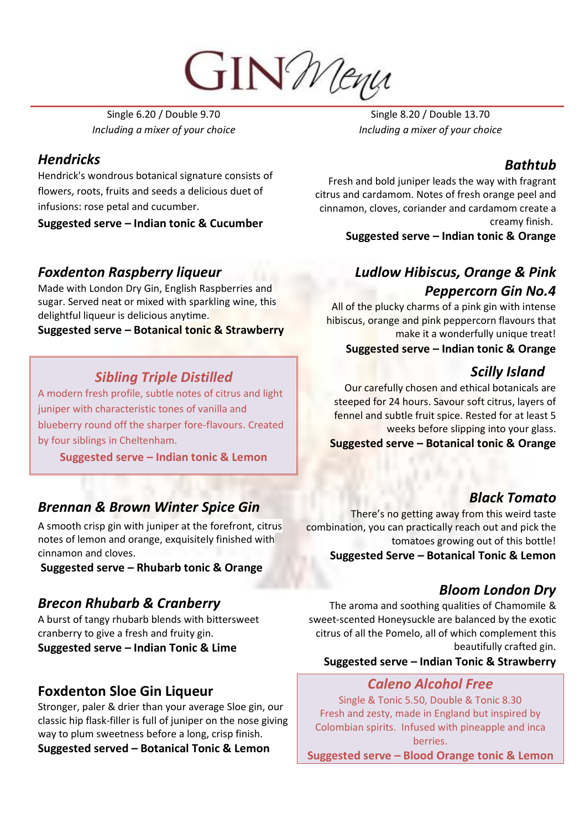**GIN** Menu

Single 6.20 / Double 9.70 *Including a mixer of your choice*

#### *Hendricks*

Hendrick's wondrous botanical signature consists of flowers, roots, fruits and seeds a delicious duet of infusions: rose petal and cucumber.

**Suggested serve – Indian tonic & Cucumber**

### *Foxdenton Raspberry liqueur*

Made with London Dry Gin, English Raspberries and sugar. Served neat or mixed with sparkling wine, this delightful liqueur is delicious anytime.

#### **Suggested serve – Botanical tonic & Strawberry**

#### *Sibling Triple Distilled*

A modern fresh profile, subtle notes of citrus and light juniper with characteristic tones of vanilla and blueberry round off the sharper fore-flavours. Created by four siblings in Cheltenham.

**Suggested serve – Indian tonic & Lemon**

### *Brennan & Brown Winter Spice Gin*

A smooth crisp gin with juniper at the forefront, citrus notes of lemon and orange, exquisitely finished with cinnamon and cloves.

**Suggested serve – Rhubarb tonic & Orange**

#### *Brecon Rhubarb & Cranberry*

A burst of tangy rhubarb blends with bittersweet cranberry to give a fresh and fruity gin. **Suggested serve – Indian Tonic & Lime**

### **Foxdenton Sloe Gin Liqueur**

Stronger, paler & drier than your average Sloe gin, our classic hip flask-filler is full of juniper on the nose giving way to plum sweetness before a long, crisp finish.

**Suggested served – Botanical Tonic & Lemon**

Single 8.20 / Double 13.70 *Including a mixer of your choice*

### *Bathtub*

Fresh and bold juniper leads the way with fragrant citrus and cardamom. Notes of fresh orange peel and cinnamon, cloves, coriander and cardamom create a creamy finish.

**Suggested serve – Indian tonic & Orange**

### *Ludlow Hibiscus, Orange & Pink Peppercorn Gin No.4*

All of the plucky charms of a pink gin with intense hibiscus, orange and pink peppercorn flavours that make it a wonderfully unique treat!

**Suggested serve – Indian tonic & Orange**

### *Scilly Island*

Our carefully chosen and ethical botanicals are steeped for 24 hours. Savour soft citrus, layers of fennel and subtle fruit spice. Rested for at least 5 weeks before slipping into your glass. **Suggested serve – Botanical tonic & Orange**

### *Black Tomato*

There's no getting away from this weird taste combination, you can practically reach out and pick the tomatoes growing out of this bottle! **Suggested Serve – Botanical Tonic & Lemon**

#### *Bloom London Dry*

The aroma and soothing qualities of Chamomile & sweet-scented Honeysuckle are balanced by the exotic citrus of all the Pomelo, all of which complement this beautifully crafted gin.

#### **Suggested serve – Indian Tonic & Strawberry**

#### *Caleno Alcohol Free*

Single & Tonic 5.50, Double & Tonic 8.30 Fresh and zesty, made in England but inspired by Colombian spirits. Infused with pineapple and inca berries.

**Suggested serve – Blood Orange tonic & Lemon**